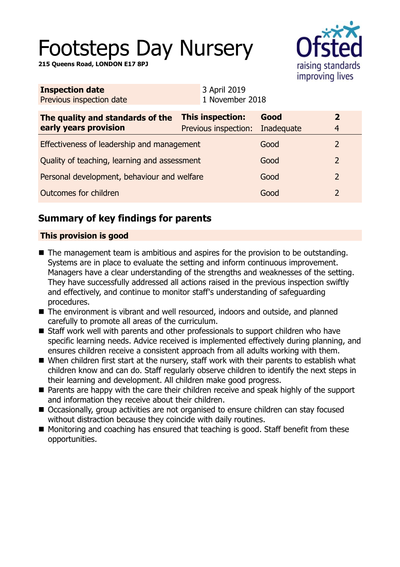# Footsteps Day Nursery

**215 Queens Road, LONDON E17 8PJ**



| <b>Inspection date</b><br>Previous inspection date        |  | 3 April 2019<br>1 November 2018          |                    |                                  |
|-----------------------------------------------------------|--|------------------------------------------|--------------------|----------------------------------|
| The quality and standards of the<br>early years provision |  | This inspection:<br>Previous inspection: | Good<br>Inadequate | $\overline{2}$<br>$\overline{4}$ |
| Effectiveness of leadership and management                |  |                                          | Good               | $\mathcal{L}$                    |
| Quality of teaching, learning and assessment              |  |                                          | Good               | $\overline{2}$                   |
| Personal development, behaviour and welfare               |  |                                          | Good               | $\overline{2}$                   |
| Outcomes for children                                     |  |                                          | Good               | $\mathcal{P}$                    |

# **Summary of key findings for parents**

#### **This provision is good**

- $\blacksquare$  The management team is ambitious and aspires for the provision to be outstanding. Systems are in place to evaluate the setting and inform continuous improvement. Managers have a clear understanding of the strengths and weaknesses of the setting. They have successfully addressed all actions raised in the previous inspection swiftly and effectively, and continue to monitor staff's understanding of safeguarding procedures.
- The environment is vibrant and well resourced, indoors and outside, and planned carefully to promote all areas of the curriculum.
- Staff work well with parents and other professionals to support children who have specific learning needs. Advice received is implemented effectively during planning, and ensures children receive a consistent approach from all adults working with them.
- $\blacksquare$  When children first start at the nursery, staff work with their parents to establish what children know and can do. Staff regularly observe children to identify the next steps in their learning and development. All children make good progress.
- Parents are happy with the care their children receive and speak highly of the support and information they receive about their children.
- Occasionally, group activities are not organised to ensure children can stay focused without distraction because they coincide with daily routines.
- Monitoring and coaching has ensured that teaching is good. Staff benefit from these opportunities.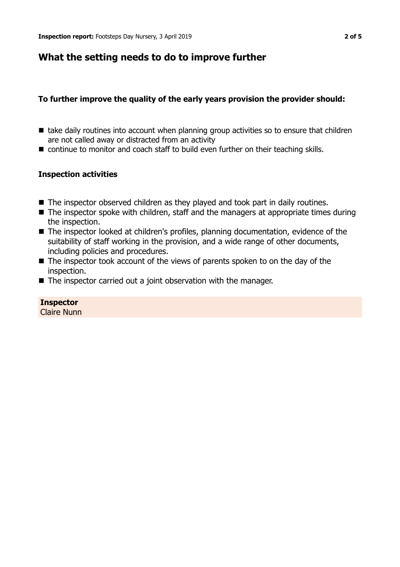## **What the setting needs to do to improve further**

## **To further improve the quality of the early years provision the provider should:**

- $\blacksquare$  take daily routines into account when planning group activities so to ensure that children are not called away or distracted from an activity
- $\blacksquare$  continue to monitor and coach staff to build even further on their teaching skills.

### **Inspection activities**

- $\blacksquare$  The inspector observed children as they played and took part in daily routines.
- $\blacksquare$  The inspector spoke with children, staff and the managers at appropriate times during the inspection.
- The inspector looked at children's profiles, planning documentation, evidence of the suitability of staff working in the provision, and a wide range of other documents, including policies and procedures.
- $\blacksquare$  The inspector took account of the views of parents spoken to on the day of the inspection.
- $\blacksquare$  The inspector carried out a joint observation with the manager.

## **Inspector**

Claire Nunn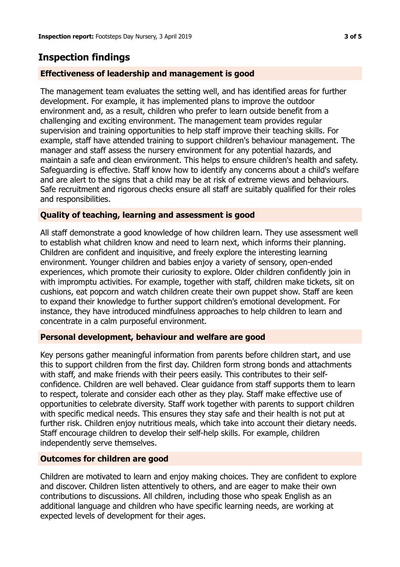## **Inspection findings**

#### **Effectiveness of leadership and management is good**

The management team evaluates the setting well, and has identified areas for further development. For example, it has implemented plans to improve the outdoor environment and, as a result, children who prefer to learn outside benefit from a challenging and exciting environment. The management team provides regular supervision and training opportunities to help staff improve their teaching skills. For example, staff have attended training to support children's behaviour management. The manager and staff assess the nursery environment for any potential hazards, and maintain a safe and clean environment. This helps to ensure children's health and safety. Safeguarding is effective. Staff know how to identify any concerns about a child's welfare and are alert to the signs that a child may be at risk of extreme views and behaviours. Safe recruitment and rigorous checks ensure all staff are suitably qualified for their roles and responsibilities.

#### **Quality of teaching, learning and assessment is good**

All staff demonstrate a good knowledge of how children learn. They use assessment well to establish what children know and need to learn next, which informs their planning. Children are confident and inquisitive, and freely explore the interesting learning environment. Younger children and babies enjoy a variety of sensory, open-ended experiences, which promote their curiosity to explore. Older children confidently join in with impromptu activities. For example, together with staff, children make tickets, sit on cushions, eat popcorn and watch children create their own puppet show. Staff are keen to expand their knowledge to further support children's emotional development. For instance, they have introduced mindfulness approaches to help children to learn and concentrate in a calm purposeful environment.

#### **Personal development, behaviour and welfare are good**

Key persons gather meaningful information from parents before children start, and use this to support children from the first day. Children form strong bonds and attachments with staff, and make friends with their peers easily. This contributes to their selfconfidence. Children are well behaved. Clear guidance from staff supports them to learn to respect, tolerate and consider each other as they play. Staff make effective use of opportunities to celebrate diversity. Staff work together with parents to support children with specific medical needs. This ensures they stay safe and their health is not put at further risk. Children enjoy nutritious meals, which take into account their dietary needs. Staff encourage children to develop their self-help skills. For example, children independently serve themselves.

#### **Outcomes for children are good**

Children are motivated to learn and enjoy making choices. They are confident to explore and discover. Children listen attentively to others, and are eager to make their own contributions to discussions. All children, including those who speak English as an additional language and children who have specific learning needs, are working at expected levels of development for their ages.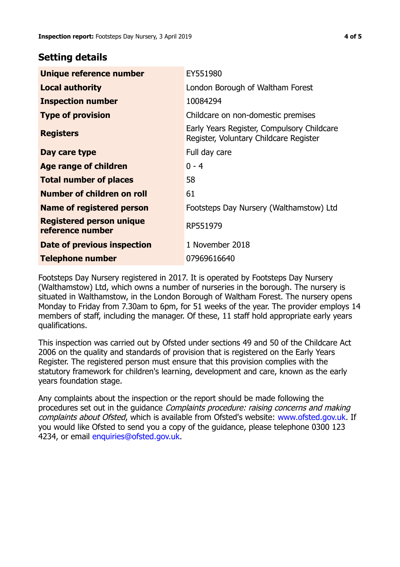## **Setting details**

| Unique reference number                             | EY551980                                                                             |  |
|-----------------------------------------------------|--------------------------------------------------------------------------------------|--|
| <b>Local authority</b>                              | London Borough of Waltham Forest                                                     |  |
| <b>Inspection number</b>                            | 10084294                                                                             |  |
| <b>Type of provision</b>                            | Childcare on non-domestic premises                                                   |  |
| <b>Registers</b>                                    | Early Years Register, Compulsory Childcare<br>Register, Voluntary Childcare Register |  |
| Day care type                                       | Full day care                                                                        |  |
| <b>Age range of children</b>                        | $0 - 4$                                                                              |  |
| <b>Total number of places</b>                       | 58                                                                                   |  |
| Number of children on roll                          | 61                                                                                   |  |
| <b>Name of registered person</b>                    | Footsteps Day Nursery (Walthamstow) Ltd                                              |  |
| <b>Registered person unique</b><br>reference number | RP551979                                                                             |  |
| Date of previous inspection                         | 1 November 2018                                                                      |  |
| <b>Telephone number</b>                             | 07969616640                                                                          |  |

Footsteps Day Nursery registered in 2017. It is operated by Footsteps Day Nursery (Walthamstow) Ltd, which owns a number of nurseries in the borough. The nursery is situated in Walthamstow, in the London Borough of Waltham Forest. The nursery opens Monday to Friday from 7.30am to 6pm, for 51 weeks of the year. The provider employs 14 members of staff, including the manager. Of these, 11 staff hold appropriate early years qualifications.

This inspection was carried out by Ofsted under sections 49 and 50 of the Childcare Act 2006 on the quality and standards of provision that is registered on the Early Years Register. The registered person must ensure that this provision complies with the statutory framework for children's learning, development and care, known as the early years foundation stage.

Any complaints about the inspection or the report should be made following the procedures set out in the guidance Complaints procedure: raising concerns and making complaints about Ofsted, which is available from Ofsted's website: www.ofsted.gov.uk. If you would like Ofsted to send you a copy of the guidance, please telephone 0300 123 4234, or email [enquiries@ofsted.gov.uk.](mailto:enquiries@ofsted.gov.uk)